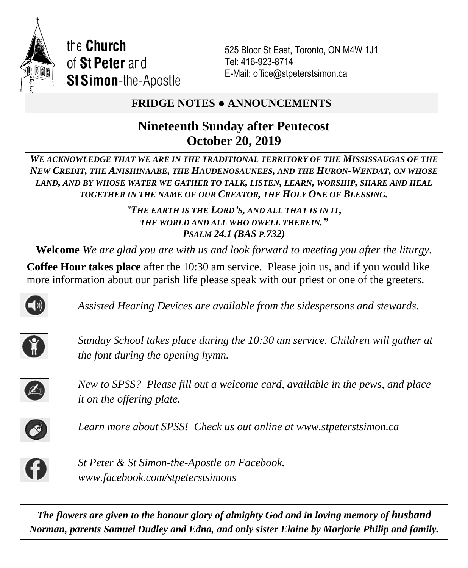

525 Bloor St East, Toronto, ON M4W 1J1 Tel: 416-923-8714 E-Mail: office@stpeterstsimon.ca

# **FRIDGE NOTES ● ANNOUNCEMENTS**

# **Nineteenth Sunday after Pentecost October 20, 2019**

*WE ACKNOWLEDGE THAT WE ARE IN THE TRADITIONAL TERRITORY OF THE MISSISSAUGAS OF THE NEW CREDIT, THE ANISHINAABE, THE HAUDENOSAUNEES, AND THE HURON-WENDAT, ON WHOSE LAND, AND BY WHOSE WATER WE GATHER TO TALK, LISTEN, LEARN, WORSHIP, SHARE AND HEAL TOGETHER IN THE NAME OF OUR CREATOR, THE HOLY ONE OF BLESSING.*

> *"THE EARTH IS THE LORD'S, AND ALL THAT IS IN IT, THE WORLD AND ALL WHO DWELL THEREIN." PSALM 24.1 (BAS P.732)*

**Welcome** *We are glad you are with us and look forward to meeting you after the liturgy.*

**Coffee Hour takes place** after the 10:30 am service. Please join us, and if you would like more information about our parish life please speak with our priest or one of the greeters.



*Assisted Hearing Devices are available from the sidespersons and stewards.*



*Sunday School takes place during the 10:30 am service. Children will gather at the font during the opening hymn.*



*New to SPSS? Please fill out a welcome card, available in the pews, and place it on the offering plate.* 



*Learn more about SPSS! Check us out online at www.stpeterstsimon.ca* 



*St Peter & St Simon-the-Apostle on Facebook. www.facebook.com/stpeterstsimons*

**The flowers are given to the honour glory of almighty God and in loving memory of husband** *Norman, parents Samuel Dudley and Edna, and only sister Elaine by Marjorie Philip and family.*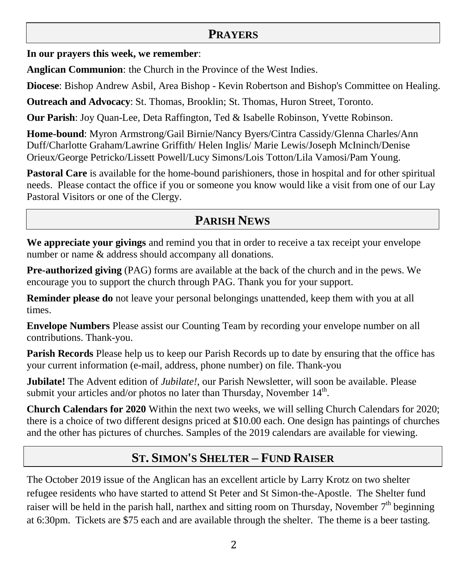# **PRAYERS**

**In our prayers this week, we remember**:

**Anglican Communion**: the Church in the Province of the West Indies.

**Diocese**: Bishop Andrew Asbil, Area Bishop - Kevin Robertson and Bishop's Committee on Healing.

**Outreach and Advocacy**: St. Thomas, Brooklin; St. Thomas, Huron Street, Toronto.

**Our Parish**: Joy Quan-Lee, Deta Raffington, Ted & Isabelle Robinson, Yvette Robinson.

**Home-bound**: Myron Armstrong/Gail Birnie/Nancy Byers/Cintra Cassidy/Glenna Charles/Ann Duff/Charlotte Graham/Lawrine Griffith/ Helen Inglis/ Marie Lewis/Joseph McIninch/Denise Orieux/George Petricko/Lissett Powell/Lucy Simons/Lois Totton/Lila Vamosi/Pam Young.

**Pastoral Care** is available for the home-bound parishioners, those in hospital and for other spiritual needs. Please contact the office if you or someone you know would like a visit from one of our Lay Pastoral Visitors or one of the Clergy.

# **PARISH NEWS**

**We appreciate your givings** and remind you that in order to receive a tax receipt your envelope number or name & address should accompany all donations.

**Pre-authorized giving** (PAG) forms are available at the back of the church and in the pews. We encourage you to support the church through PAG. Thank you for your support.

**Reminder please do** not leave your personal belongings unattended, keep them with you at all times.

**Envelope Numbers** Please assist our Counting Team by recording your envelope number on all contributions. Thank-you.

**Parish Records** Please help us to keep our Parish Records up to date by ensuring that the office has your current information (e-mail, address, phone number) on file. Thank-you

**Jubilate!** The Advent edition of *Jubilate!*, our Parish Newsletter, will soon be available. Please submit your articles and/or photos no later than Thursday, November  $14<sup>th</sup>$ .

**Church Calendars for 2020** Within the next two weeks, we will selling Church Calendars for 2020; there is a choice of two different designs priced at \$10.00 each. One design has paintings of churches and the other has pictures of churches. Samples of the 2019 calendars are available for viewing.

# **ST. SIMON'S SHELTER – FUND RAISER**

The October 2019 issue of the Anglican has an excellent article by Larry Krotz on two shelter refugee residents who have started to attend St Peter and St Simon-the-Apostle. The Shelter fund raiser will be held in the parish hall, narthex and sitting room on Thursday, November  $7<sup>th</sup>$  beginning at 6:30pm. Tickets are \$75 each and are available through the shelter. The theme is a beer tasting.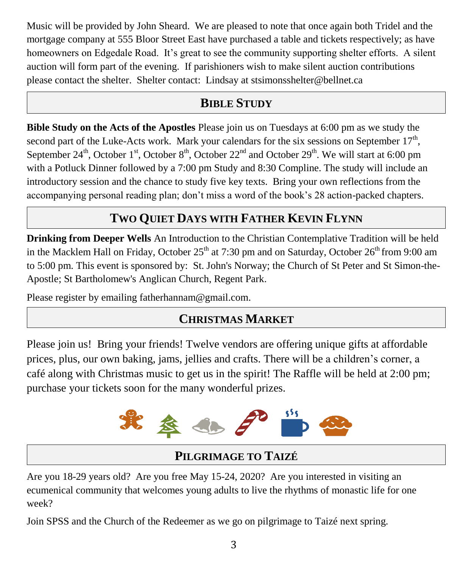Music will be provided by John Sheard. We are pleased to note that once again both Tridel and the mortgage company at 555 Bloor Street East have purchased a table and tickets respectively; as have homeowners on Edgedale Road. It's great to see the community supporting shelter efforts. A silent auction will form part of the evening. If parishioners wish to make silent auction contributions please contact the shelter. Shelter contact: Lindsay at stsimonsshelter@bellnet.ca

# **BIBLE STUDY**

**Bible Study on the Acts of the Apostles** Please join us on Tuesdays at 6:00 pm as we study the second part of the Luke-Acts work. Mark your calendars for the six sessions on September  $17<sup>th</sup>$ , September 24<sup>th</sup>, October 1<sup>st</sup>, October 8<sup>th</sup>, October 22<sup>nd</sup> and October 29<sup>th</sup>. We will start at 6:00 pm with a Potluck Dinner followed by a 7:00 pm Study and 8:30 Compline. The study will include an introductory session and the chance to study five key texts. Bring your own reflections from the accompanying personal reading plan; don't miss a word of the book's 28 action-packed chapters.

# **TWO QUIET DAYS WITH FATHER KEVIN FLYNN**

**Drinking from Deeper Wells** An Introduction to the Christian Contemplative Tradition will be held in the Macklem Hall on Friday, October  $25<sup>th</sup>$  at 7:30 pm and on Saturday, October  $26<sup>th</sup>$  from 9:00 am to 5:00 pm. This event is sponsored by: St. John's Norway; the Church of St Peter and St Simon-the-Apostle; St Bartholomew's Anglican Church, Regent Park.

Please register by emailing fatherhannam@gmail.com.

# **CHRISTMAS MARKET**

Please join us! Bring your friends! Twelve vendors are offering unique gifts at affordable prices, plus, our own baking, jams, jellies and crafts. There will be a children's corner, a café along with Christmas music to get us in the spirit! The Raffle will be held at 2:00 pm; purchase your tickets soon for the many wonderful prizes.



# **PILGRIMAGE TO TAIZÉ**

Are you 18-29 years old? Are you free May 15-24, 2020? Are you interested in visiting an ecumenical community that welcomes young adults to live the rhythms of monastic life for one week?

Join SPSS and the Church of the Redeemer as we go on pilgrimage to Taizé next spring.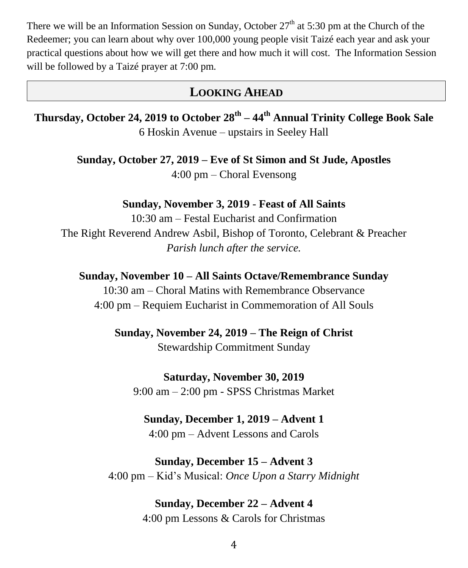There we will be an Information Session on Sunday, October  $27<sup>th</sup>$  at 5:30 pm at the Church of the Redeemer; you can learn about why over 100,000 young people visit Taizé each year and ask your practical questions about how we will get there and how much it will cost. The Information Session will be followed by a Taizé prayer at 7:00 pm.

# **LOOKING AHEAD**

**Thursday, October 24, 2019 to October 28th – 44th Annual Trinity College Book Sale** 6 Hoskin Avenue – upstairs in Seeley Hall

> **Sunday, October 27, 2019 – Eve of St Simon and St Jude, Apostles** 4:00 pm – Choral Evensong

### **Sunday, November 3, 2019** - **Feast of All Saints**

10:30 am – Festal Eucharist and Confirmation The Right Reverend Andrew Asbil, Bishop of Toronto, Celebrant & Preacher *Parish lunch after the service.*

**Sunday, November 10 – All Saints Octave/Remembrance Sunday** 10:30 am – Choral Matins with Remembrance Observance 4:00 pm – Requiem Eucharist in Commemoration of All Souls

> **Sunday, November 24, 2019 – The Reign of Christ** Stewardship Commitment Sunday

**Saturday, November 30, 2019** 9:00 am – 2:00 pm - SPSS Christmas Market

# **Sunday, December 1, 2019 – Advent 1**

4:00 pm – Advent Lessons and Carols

# **Sunday, December 15 – Advent 3**

4:00 pm – Kid's Musical: *Once Upon a Starry Midnight*

## **Sunday, December 22 – Advent 4**

4:00 pm Lessons & Carols for Christmas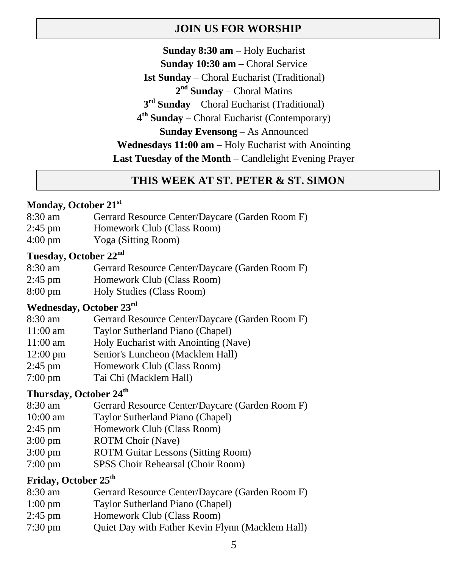## **JOIN US FOR WORSHIP**

**Sunday 8:30 am** – Holy Eucharist **Sunday 10:30 am** – Choral Service **1st Sunday** – Choral Eucharist (Traditional) 2<sup>nd</sup> Sunday – Choral Matins **3 rd Sunday** – Choral Eucharist (Traditional) **4 th Sunday** – Choral Eucharist (Contemporary) **Sunday Evensong** – As Announced **Wednesdays 11:00 am –** Holy Eucharist with Anointing **Last Tuesday of the Month** – Candlelight Evening Prayer

## **THIS WEEK AT ST. PETER & ST. SIMON**

### **Monday, October 21st**

- 8:30 am Gerrard Resource Center/Daycare (Garden Room F)
- 2:45 pm Homework Club (Class Room)
- 4:00 pm Yoga (Sitting Room)

### **Tuesday, October 22nd**

| 8:30 am | Gerrard Resource Center/Daycare (Garden Room F)                      |
|---------|----------------------------------------------------------------------|
| 2:45 pm | Homework Club (Class Room)                                           |
| റ ററ    | $\mathbf{H}$ 1 $\mathbf{H}$ 1 $\mathbf{H}$ $\mathbf{H}$ $\mathbf{H}$ |

8:00 pm Holy Studies (Class Room)

## **Wednesday, October 23rd**

- 8:30 am Gerrard Resource Center/Daycare (Garden Room F)
- 11:00 am Taylor Sutherland Piano (Chapel)
- 11:00 am Holy Eucharist with Anointing (Nave)
- 12:00 pm Senior's Luncheon (Macklem Hall)
- 2:45 pm Homework Club (Class Room)
- 7:00 pm Tai Chi (Macklem Hall)

# **Thursday, October 24th**

- 8:30 am Gerrard Resource Center/Daycare (Garden Room F)
- 10:00 am Taylor Sutherland Piano (Chapel)
- 2:45 pm Homework Club (Class Room)
- 3:00 pm ROTM Choir (Nave)
- 3:00 pm ROTM Guitar Lessons (Sitting Room)
- 7:00 pm SPSS Choir Rehearsal (Choir Room)

## **Friday, October 25th**

| 8:30 am           | Gerrard Resource Center/Daycare (Garden Room F) |
|-------------------|-------------------------------------------------|
| $1:00 \text{ pm}$ | Taylor Sutherland Piano (Chapel)                |

- 2:45 pm Homework Club (Class Room)
- 7:30 pm Quiet Day with Father Kevin Flynn (Macklem Hall)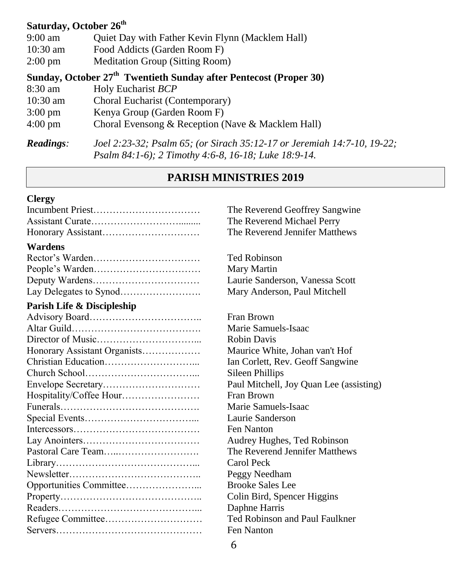### **Saturday, October 26th**

| $9:00$ am          | Quiet Day with Father Kevin Flynn (Macklem Hall) |
|--------------------|--------------------------------------------------|
| $10:30 \text{ am}$ | Food Addicts (Garden Room F)                     |
| $2:00 \text{ pm}$  | <b>Meditation Group (Sitting Room)</b>           |

**Sunday, October 27 th Twentieth Sunday after Pentecost (Proper 30)** 

| 8:30 am            | Holy Eucharist BCP                                |
|--------------------|---------------------------------------------------|
| $10:30 \text{ am}$ | Choral Eucharist (Contemporary)                   |
| $3:00 \text{ pm}$  | Kenya Group (Garden Room F)                       |
| $4:00 \text{ pm}$  | Choral Evensong & Reception (Nave & Macklem Hall) |
|                    |                                                   |

*Readings: Joel 2:23-32; Psalm 65; (or Sirach 35:12-17 or Jeremiah 14:7-10, 19-22; Psalm 84:1-6); 2 Timothy 4:6-8, 16-18; Luke 18:9-14.*

### **PARISH MINISTRIES 2019**

#### **Clergy**

| $\mathbf{v}$ $\mathbf{v}$ $\mathbf{v}$ $\mathbf{v}$ $\mathbf{v}$ $\mathbf{v}$ $\mathbf{v}$ $\mathbf{v}$ $\mathbf{v}$ $\mathbf{v}$ $\mathbf{v}$ $\mathbf{v}$ $\mathbf{v}$ $\mathbf{v}$ $\mathbf{v}$ $\mathbf{v}$ $\mathbf{v}$ $\mathbf{v}$ $\mathbf{v}$ $\mathbf{v}$ $\mathbf{v}$ $\mathbf{v}$ $\mathbf{v}$ $\mathbf{v}$ $\mathbf{$ |
|------------------------------------------------------------------------------------------------------------------------------------------------------------------------------------------------------------------------------------------------------------------------------------------------------------------------------------|

### **Wardens**

### **Parish Life & Discipleship**

| Honorary Assistant Organists |
|------------------------------|
|                              |
|                              |
|                              |
| Hospitality/Coffee Hour      |
|                              |
|                              |
|                              |
|                              |
|                              |
|                              |
|                              |
|                              |
|                              |
|                              |
|                              |
|                              |
|                              |

The Reverend Geoffrey Sangwine The Reverend Michael Perry The Reverend Jennifer Matthews

Ted Robinson **Mary Martin** Laurie Sanderson, Vanessa Scott Mary Anderson, Paul Mitchell

Fran Brown Marie Samuels-Isaac Robin Davis Maurice White, Johan van't Hof Ian Corlett, Rev. Geoff Sangwine Sileen Phillips Paul Mitchell, Joy Quan Lee (assisting) Fran Brown Marie Samuels-Isaac Laurie Sanderson Fen Nanton Audrey Hughes, Ted Robinson The Reverend Jennifer Matthews Carol Peck Peggy Needham Brooke Sales Lee Colin Bird, Spencer Higgins Daphne Harris Ted Robinson and Paul Faulkner Fen Nanton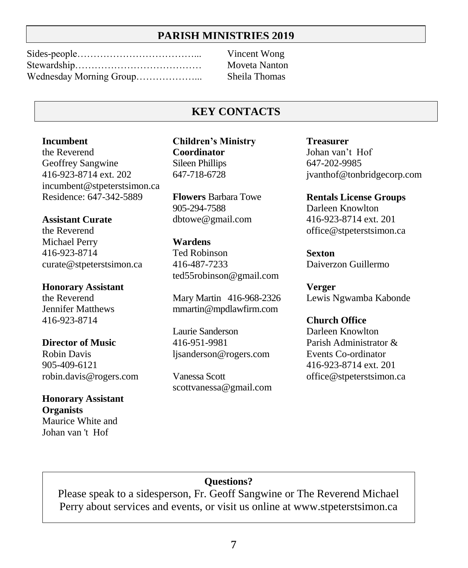### **PARISH MINISTRIES 2019**

**Vincent Wong** Moveta Nanton Sheila Thomas

### **KEY CONTACTS**

#### **Incumbent**

the Reverend Geoffrey Sangwine 416-923-8714 ext. 202 incumbent@stpeterstsimon.ca Residence: 647-342-5889

#### **Assistant Curate**

the Reverend Michael Perry 416-923-8714 curate@stpeterstsimon.ca

#### **Honorary Assistant**

the Reverend Jennifer Matthews 416-923-8714

#### **Director of Music**

Robin Davis 905-409-6121 robin.davis@rogers.com

#### **Honorary Assistant Organists** Maurice White and

Johan van 't Hof

**Children's Ministry Coordinator** Sileen Phillips 647-718-6728

**Flowers** Barbara Towe 905-294-7588 dbtowe@gmail.com

#### **Wardens**

Ted Robinson 416-487-7233 ted55robinson@gmail.com

Mary Martin 416-968-2326 mmartin@mpdlawfirm.com

Laurie Sanderson 416-951-9981 ljsanderson@rogers.com

Vanessa Scott scottvanessa@gmail.com

**Treasurer**  Johan van't Hof 647-202-9985 jvanthof@tonbridgecorp.com

**Rentals License Groups** Darleen Knowlton 416-923-8714 ext. 201 office@stpeterstsimon.ca

**Sexton** Daiverzon Guillermo

**Verger** Lewis Ngwamba Kabonde

**Church Office** Darleen Knowlton Parish Administrator & Events Co-ordinator 416-923-8714 ext. 201 office@stpeterstsimon.ca

## **Questions?**

Please speak to a sidesperson, Fr. Geoff Sangwine or The Reverend Michael Perry about services and events, or visit us online at [www.stpeterstsimon.ca](http://www.stpeterstsimon.ca/)